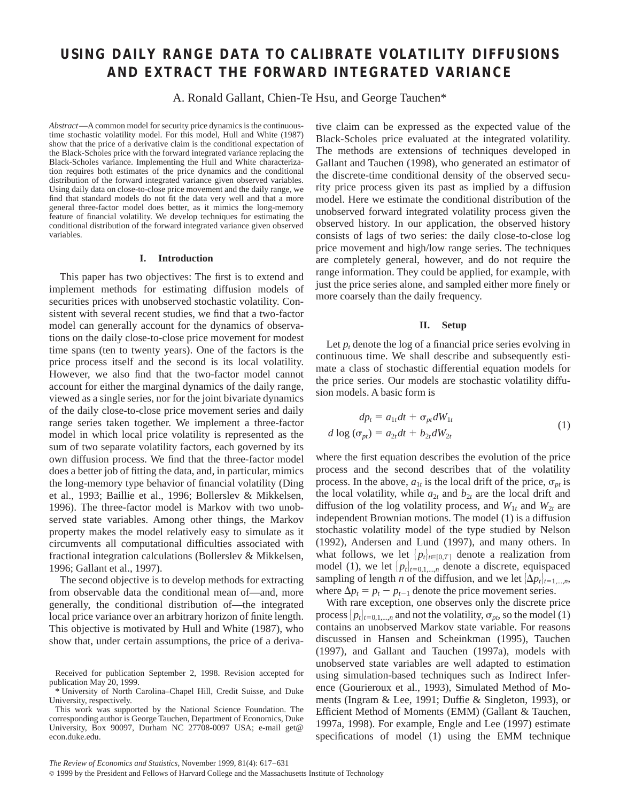# **USING DAILY RANGE DATA TO CALIBRATE VOLATILITY DIFFUSIONS AND EXTRACT THE FORWARD INTEGRATED VARIANCE**

A. Ronald Gallant, Chien-Te Hsu, and George Tauchen\*

*Abstract*—A common model for security price dynamics is the continuoustime stochastic volatility model. For this model, Hull and White (1987) show that the price of a derivative claim is the conditional expectation of the Black-Scholes price with the forward integrated variance replacing the Black-Scholes variance. Implementing the Hull and White characterization requires both estimates of the price dynamics and the conditional distribution of the forward integrated variance given observed variables. Using daily data on close-to-close price movement and the daily range, we find that standard models do not fit the data very well and that a more general three-factor model does better, as it mimics the long-memory feature of financial volatility. We develop techniques for estimating the conditional distribution of the forward integrated variance given observed variables.

## **I. Introduction**

This paper has two objectives: The first is to extend and implement methods for estimating diffusion models of securities prices with unobserved stochastic volatility. Consistent with several recent studies, we find that a two-factor model can generally account for the dynamics of observations on the daily close-to-close price movement for modest time spans (ten to twenty years). One of the factors is the price process itself and the second is its local volatility. However, we also find that the two-factor model cannot account for either the marginal dynamics of the daily range, viewed as a single series, nor for the joint bivariate dynamics of the daily close-to-close price movement series and daily range series taken together. We implement a three-factor model in which local price volatility is represented as the sum of two separate volatility factors, each governed by its own diffusion process. We find that the three-factor model does a better job of fitting the data, and, in particular, mimics the long-memory type behavior of financial volatility (Ding et al., 1993; Baillie et al., 1996; Bollerslev & Mikkelsen, 1996). The three-factor model is Markov with two unobserved state variables. Among other things, the Markov property makes the model relatively easy to simulate as it circumvents all computational difficulties associated with fractional integration calculations (Bollerslev & Mikkelsen, 1996; Gallant et al., 1997).

The second objective is to develop methods for extracting from observable data the conditional mean of—and, more generally, the conditional distribution of—the integrated local price variance over an arbitrary horizon of finite length. This objective is motivated by Hull and White (1987), who show that, under certain assumptions, the price of a derivative claim can be expressed as the expected value of the Black-Scholes price evaluated at the integrated volatility. The methods are extensions of techniques developed in Gallant and Tauchen (1998), who generated an estimator of the discrete-time conditional density of the observed security price process given its past as implied by a diffusion model. Here we estimate the conditional distribution of the unobserved forward integrated volatility process given the observed history. In our application, the observed history consists of lags of two series: the daily close-to-close log price movement and high/low range series. The techniques are completely general, however, and do not require the range information. They could be applied, for example, with just the price series alone, and sampled either more finely or more coarsely than the daily frequency.

#### **II. Setup**

Let  $p_t$  denote the log of a financial price series evolving in continuous time. We shall describe and subsequently estimate a class of stochastic differential equation models for the price series. Our models are stochastic volatility diffusion models. A basic form is

$$
dp_t = a_{1t}dt + \sigma_{pt}dW_{1t}
$$
  
\n
$$
d \log (\sigma_{pt}) = a_{2t}dt + b_{2t}dW_{2t}
$$
\n(1)

where the first equation describes the evolution of the price process and the second describes that of the volatility process. In the above,  $a_{1t}$  is the local drift of the price,  $\sigma_{pt}$  is the local volatility, while  $a_{2t}$  and  $b_{2t}$  are the local drift and diffusion of the log volatility process, and  $W_{1t}$  and  $W_{2t}$  are independent Brownian motions. The model (1) is a diffusion stochastic volatility model of the type studied by Nelson (1992), Andersen and Lund (1997), and many others. In what follows, we let  $[p_t]_{t \in [0,T]}$  denote a realization from model (1), we let  $\{p_t\}_{t=0,1,\dots,n}$  denote a discrete, equispaced sampling of length *n* of the diffusion, and we let  $\{\Delta p_t\}_{t=1,\dots,n}$ , where  $\Delta p_t = p_t - p_{t-1}$  denote the price movement series.

With rare exception, one observes only the discrete price process  $\{p_t\}_{t=0,1,\dots,n}$  and not the volatility,  $\sigma_{pt}$ , so the model (1) contains an unobserved Markov state variable. For reasons discussed in Hansen and Scheinkman (1995), Tauchen (1997), and Gallant and Tauchen (1997a), models with unobserved state variables are well adapted to estimation using simulation-based techniques such as Indirect Inference (Gourieroux et al., 1993), Simulated Method of Moments (Ingram & Lee, 1991; Duffie & Singleton, 1993), or Efficient Method of Moments (EMM) (Gallant & Tauchen, 1997a, 1998). For example, Engle and Lee (1997) estimate specifications of model (1) using the EMM technique

Received for publication September 2, 1998. Revision accepted for publication May 20, 1999.

<sup>\*</sup> University of North Carolina–Chapel Hill, Credit Suisse, and Duke University, respectively.

This work was supported by the National Science Foundation. The corresponding author is George Tauchen, Department of Economics, Duke University, Box 90097, Durham NC 27708-0097 USA; e-mail get@ econ.duke.edu.

r 1999 by the President and Fellows of Harvard College and the Massachusetts Institute of Technology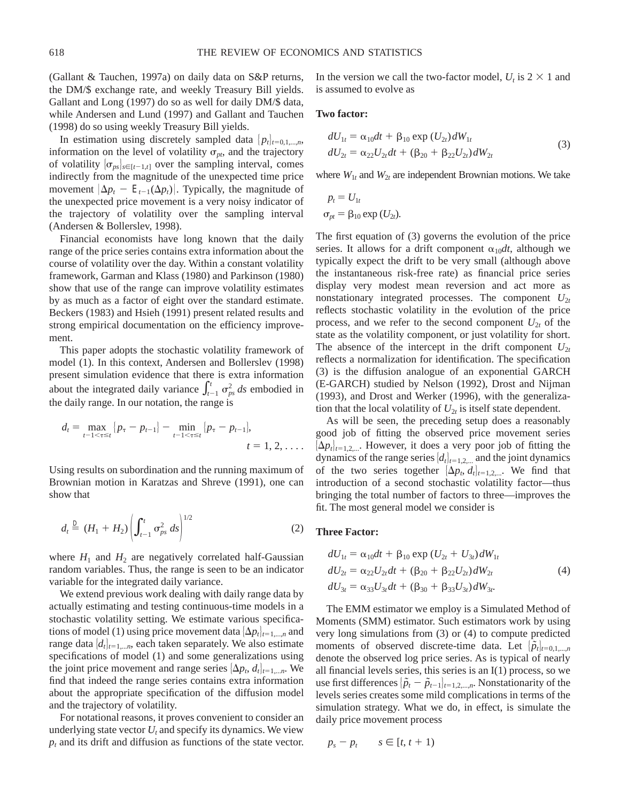(Gallant & Tauchen, 1997a) on daily data on S&P returns, the DM/\$ exchange rate, and weekly Treasury Bill yields. Gallant and Long (1997) do so as well for daily DM/\$ data, while Andersen and Lund (1997) and Gallant and Tauchen (1998) do so using weekly Treasury Bill yields.

In estimation using discretely sampled data  $\{p_t\}_{t=0,1,\ldots,n}$ , information on the level of volatility  $\sigma_{pt}$ , and the trajectory of volatility  $\langle \sigma_{ps} |_{s \in [t-1,t]}$  over the sampling interval, comes indirectly from the magnitude of the unexpected time price movement  $|\Delta p_t - \mathcal{E}_{t-1}(\Delta p_t)|$ . Typically, the magnitude of the unexpected price movement is a very noisy indicator of the trajectory of volatility over the sampling interval (Andersen & Bollerslev, 1998).

Financial economists have long known that the daily range of the price series contains extra information about the course of volatility over the day. Within a constant volatility framework, Garman and Klass (1980) and Parkinson (1980) show that use of the range can improve volatility estimates by as much as a factor of eight over the standard estimate. Beckers (1983) and Hsieh (1991) present related results and strong empirical documentation on the efficiency improvement.

This paper adopts the stochastic volatility framework of model (1). In this context, Andersen and Bollerslev (1998) present simulation evidence that there is extra information about the integrated daily variance  $\int_{t-1}^{t} \sigma_{ps}^{2} ds$  embodied in the daily range. In our notation, the range is

$$
d_{t} = \max_{t-1 < \tau \leq t} \{ p_{\tau} - p_{t-1} \} - \min_{t-1 < \tau \leq t} \{ p_{\tau} - p_{t-1} \},
$$
  

$$
t = 1, 2, \ldots.
$$

Using results on subordination and the running maximum of Brownian motion in Karatzas and Shreve (1991), one can show that

$$
d_{t} \stackrel{\mathcal{L}}{=} (H_{1} + H_{2}) \left( \int_{t-1}^{t} \sigma_{ps}^{2} ds \right)^{1/2}
$$
 (2)

where  $H_1$  and  $H_2$  are negatively correlated half-Gaussian random variables. Thus, the range is seen to be an indicator variable for the integrated daily variance.

We extend previous work dealing with daily range data by actually estimating and testing continuous-time models in a stochastic volatility setting. We estimate various specifications of model (1) using price movement data  $\Delta p_t|_{t=1,\dots,n}$  and range data  $\{d_t\}_{t=1,\dots,n}$ , each taken separately. We also estimate specifications of model (1) and some generalizations using the joint price movement and range series  $[\Delta p_t, d_t]_{t=1,\dots,n}$ . We find that indeed the range series contains extra information about the appropriate specification of the diffusion model and the trajectory of volatility.

For notational reasons, it proves convenient to consider an underlying state vector  $U_t$  and specify its dynamics. We view  $p_t$  and its drift and diffusion as functions of the state vector.

In the version we call the two-factor model,  $U_t$  is  $2 \times 1$  and is assumed to evolve as

## **Two factor:**

$$
dU_{1t} = \alpha_{10}dt + \beta_{10} \exp(U_{2t})dW_{1t}
$$
  
\n
$$
dU_{2t} = \alpha_{22}U_{2t}dt + (\beta_{20} + \beta_{22}U_{2t})dW_{2t}
$$
\n(3)

where  $W_{1t}$  and  $W_{2t}$  are independent Brownian motions. We take

$$
p_t = U_{1t}
$$
  

$$
\sigma_{pt} = \beta_{10} \exp{(U_{2t})}.
$$

The first equation of (3) governs the evolution of the price series. It allows for a drift component  $\alpha_{10}dt$ , although we typically expect the drift to be very small (although above the instantaneous risk-free rate) as financial price series display very modest mean reversion and act more as nonstationary integrated processes. The component  $U_{2t}$ reflects stochastic volatility in the evolution of the price process, and we refer to the second component  $U_{2t}$  of the state as the volatility component, or just volatility for short. The absence of the intercept in the drift component  $U_{2t}$ reflects a normalization for identification. The specification (3) is the diffusion analogue of an exponential GARCH (E-GARCH) studied by Nelson (1992), Drost and Nijman (1993), and Drost and Werker (1996), with the generalization that the local volatility of  $U_{2t}$  is itself state dependent.

As will be seen, the preceding setup does a reasonably good job of fitting the observed price movement series  $\{\Delta p_t\}_{t=1,2,...}$ . However, it does a very poor job of fitting the dynamics of the range series  $d_t|_{t=1,2,\dots}$  and the joint dynamics of the two series together  $\Delta p_t, d_t|_{t=1,2,...}$ . We find that introduction of a second stochastic volatility factor—thus bringing the total number of factors to three—improves the fit. The most general model we consider is

## **Three Factor:**

$$
dU_{1t} = \alpha_{10}dt + \beta_{10} \exp (U_{2t} + U_{3t})dW_{1t}
$$
  
\n
$$
dU_{2t} = \alpha_{22}U_{2t}dt + (\beta_{20} + \beta_{22}U_{2t})dW_{2t}
$$
  
\n
$$
dU_{3t} = \alpha_{33}U_{3t}dt + (\beta_{30} + \beta_{33}U_{3t})dW_{3t}.
$$
\n(4)

The EMM estimator we employ is a Simulated Method of Moments (SMM) estimator. Such estimators work by using very long simulations from (3) or (4) to compute predicted moments of observed discrete-time data. Let  $\left\{\tilde{p}_t\right\}_{t=0,1,\dots,n}$ denote the observed log price series. As is typical of nearly all financial levels series, this series is an  $I(1)$  process, so we use first differences  $\left\{\tilde{p}_t - \tilde{p}_{t-1}\right\}_{t=1,2,\dots,n}$ . Nonstationarity of the levels series creates some mild complications in terms of the simulation strategy. What we do, in effect, is simulate the daily price movement process

$$
p_s - p_t \qquad s \in [t, t+1)
$$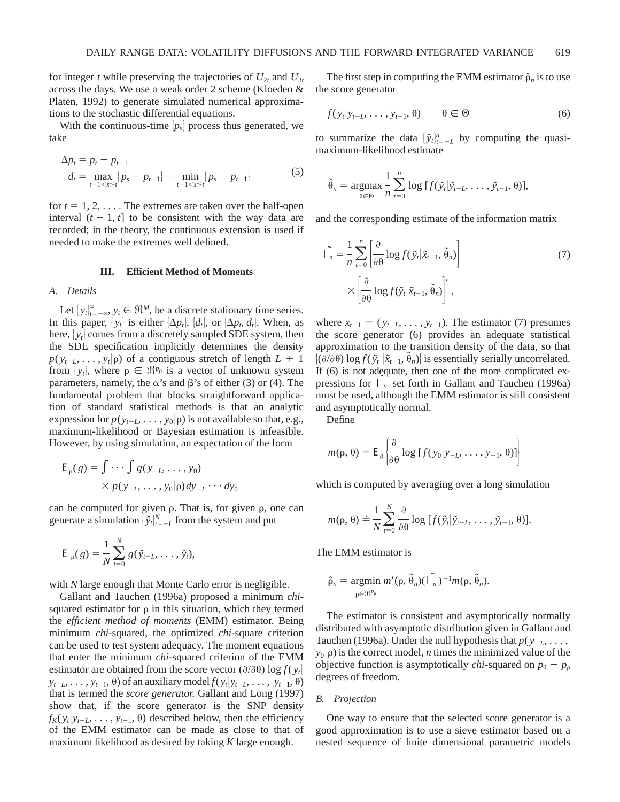for integer *t* while preserving the trajectories of  $U_{2t}$  and  $U_{3t}$ across the days. We use a weak order 2 scheme (Kloeden & Platen, 1992) to generate simulated numerical approximations to the stochastic differential equations.

With the continuous-time  $|p_s|$  process thus generated, we take

$$
\Delta p_t = p_t - p_{t-1} \nd_t = \max_{t-1 < s \le t} [p_s - p_{t-1}] - \min_{t-1 < s \le t} [p_s - p_{t-1}]
$$
\n(5)

for  $t = 1, 2, \ldots$ . The extremes are taken over the half-open interval  $(t - 1, t]$  to be consistent with the way data are recorded; in the theory, the continuous extension is used if needed to make the extremes well defined.

### **III. Efficient Method of Moments**

## *A. Details*

Let  $\{y_t\}_{t=-\infty}^{\infty}, y_t \in \mathbb{R}^M$ , be a discrete stationary time series. In this paper,  $\{y_t\}$  is either  $\Delta p_t$ ,  $\{d_t\}$ , or  $\Delta p_t$ ,  $d_t$ . When, as here,  $y_t$  comes from a discretely sampled SDE system, then the SDE specification implicitly determines the density  $p(y_{t-L},..., y_t | \rho)$  of a contiguous stretch of length  $L + 1$ from  $\{y_t\}$ , where  $\rho \in \Re^{p_\rho}$  is a vector of unknown system parameters, namely, the  $\alpha$ 's and  $\beta$ 's of either (3) or (4). The fundamental problem that blocks straightforward application of standard statistical methods is that an analytic expression for  $p(y_{t-L}, \ldots, y_0 | \rho)$  is not available so that, e.g., maximum-likelihood or Bayesian estimation is infeasible. However, by using simulation, an expectation of the form

$$
\mathcal{L}_{\rho}(g) = \int \cdots \int g(y_{-L}, \ldots, y_0)
$$
  
 
$$
\times p(y_{-L}, \ldots, y_0 | \rho) dy_{-L} \cdots dy_0
$$

can be computed for given  $\rho$ . That is, for given  $\rho$ , one can generate a simulation  $\left\{\hat{y}_t\right\}_{t=-L}^N$  from the system and put

$$
\mathcal{L}_{\rho}(g) = \frac{1}{N} \sum_{t=0}^{N} g(\hat{y}_{t-L}, \ldots, \hat{y}_t),
$$

with *N* large enough that Monte Carlo error is negligible.

Gallant and Tauchen (1996a) proposed a minimum *chi*squared estimator for  $\rho$  in this situation, which they termed the *effıcient method of moments* (EMM) estimator. Being minimum *chi*-squared, the optimized *chi*-square criterion can be used to test system adequacy. The moment equations that enter the minimum *chi*-squared criterion of the EMM estimator are obtained from the score vector  $\left(\frac{\partial}{\partial \theta}\right) \log f(\gamma_t)$  $y_{t-L}, \ldots, y_{t-1}, \theta$  of an auxiliary model  $f(y_t|y_{t-L}, \ldots, y_{t-1}, \theta)$ that is termed the *score generator.* Gallant and Long (1997) show that, if the score generator is the SNP density  $f_K(y_t|y_{t-L},\ldots,y_{t-1},\theta)$  described below, then the efficiency of the EMM estimator can be made as close to that of maximum likelihood as desired by taking *K* large enough.

The first step in computing the EMM estimator  $\hat{\rho}_n$  is to use the score generator

$$
f(y_t|y_{t-L},\ldots,y_{t-1},\theta) \qquad \theta \in \Theta \tag{6}
$$

to summarize the data  $\left\{\tilde{y}_t\right\}_{t=-L}^n$  by computing the quasimaximum-likelihood estimate

$$
\tilde{\theta}_n = \underset{\theta \in \Theta}{\operatorname{argmax}} \frac{1}{n} \sum_{t=0}^n \log [f(\tilde{y}_t | \tilde{y}_{t-L}, \dots, \tilde{y}_{t-1}, \theta)],
$$

and the corresponding estimate of the information matrix

$$
\tilde{\mathcal{A}}_n = \frac{1}{n} \sum_{t=0}^n \left[ \frac{\partial}{\partial \theta} \log f(\tilde{y}_t | \tilde{x}_{t-1}, \tilde{\theta}_n) \right] \times \left[ \frac{\partial}{\partial \theta} \log f(\tilde{y}_t | \tilde{x}_{t-1}, \tilde{\theta}_n) \right],
$$
\n(7)

where  $x_{t-1} = (y_{t-L}, \ldots, y_{t-1})$ . The estimator (7) presumes the score generator (6) provides an adequate statistical approximation to the transition density of the data, so that  $\left\{ \left( \frac{\partial}{\partial \theta} \right) \log f(\tilde{y}_t | \tilde{x}_{t-1}, \tilde{\theta}_n) \right\}$  is essentially serially uncorrelated. If (6) is not adequate, then one of the more complicated expressions for  $\ell_n$  set forth in Gallant and Tauchen (1996a) must be used, although the EMM estimator is still consistent and asymptotically normal.

Define

$$
m(\rho,\theta)=\mathcal{L}_{\rho}\left\{\frac{\partial}{\partial \theta}\log[f(y_0|y_{-L},\ldots,y_{-1},\theta)]\right\}
$$

which is computed by averaging over a long simulation

$$
m(\rho, \theta) \doteq \frac{1}{N} \sum_{t=0}^{N} \frac{\partial}{\partial \theta} \log [f(\tilde{y}_t | \tilde{y}_{t-L}, \dots, \tilde{y}_{t-1}, \theta)].
$$

The EMM estimator is

$$
\hat{\rho}_n = \underset{\rho \in \mathfrak{N}^{p_p}}{\operatorname{argmin}} m'(\rho, \tilde{\theta}_n) (\tilde{\Lambda}_n)^{-1} m(\rho, \tilde{\theta}_n).
$$

The estimator is consistent and asymptotically normally distributed with asymptotic distribution given in Gallant and Tauchen (1996a). Under the null hypothesis that  $p(y_{-L}, \ldots, y_{-L})$  $y_0|\rho$ ) is the correct model, *n* times the minimized value of the objective function is asymptotically *chi*-squared on  $p_{\theta} - p_{\theta}$ degrees of freedom.

# *B. Projection*

One way to ensure that the selected score generator is a good approximation is to use a sieve estimator based on a nested sequence of finite dimensional parametric models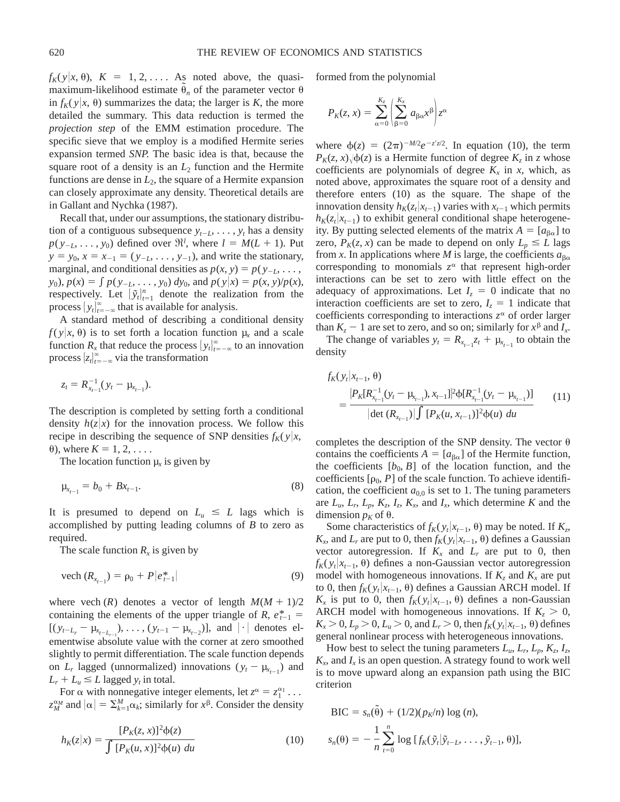$f_K(y|x, \theta)$ ,  $K = 1, 2, \ldots$  As noted above, the quasimaximum-likelihood estimate  $\tilde{\theta}_n$  of the parameter vector  $\theta$ in  $f_K(y|x, \theta)$  summarizes the data; the larger is *K*, the more detailed the summary. This data reduction is termed the *projection step* of the EMM estimation procedure. The specific sieve that we employ is a modified Hermite series expansion termed *SNP.* The basic idea is that, because the square root of a density is an  $L_2$  function and the Hermite functions are dense in  $L_2$ , the square of a Hermite expansion can closely approximate any density. Theoretical details are in Gallant and Nychka (1987).

Recall that, under our assumptions, the stationary distribution of a contiguous subsequence  $y_{t-L}, \ldots, y_t$  has a density  $p(y_{-L},..., y_0)$  defined over  $\mathfrak{R}^l$ , where  $l = M(L + 1)$ . Put  $y = y_0, x = x_{-1} = (y_{-L}, \ldots, y_{-1})$ , and write the stationary, marginal, and conditional densities as  $p(x, y) = p(y_{-L}, \ldots, y)$ *y*<sub>0</sub>),  $p(x) = \int p(y_{-L}, \ldots, y_0) dy_0$ , and  $p(y|x) = p(x, y)/p(x)$ , respectively. Let  $\left\{\tilde{y}_t\right\}_{t=1}^n$  denote the realization from the process  $\{y_t\}_{t=-\infty}^{\infty}$  that is available for analysis.

A standard method of describing a conditional density  $f(y|x, \theta)$  is to set forth a location function  $\mu_x$  and a scale function  $R_x$  that reduce the process  $\{y_t\}_{t=-\infty}^{\infty}$  to an innovation process  $\{z_t\}_{t=-\infty}^{\infty}$  via the transformation

$$
z_t = R_{x_{t-1}}^{-1}(y_t - \mu_{x_{t-1}}).
$$

The description is completed by setting forth a conditional density  $h(z|x)$  for the innovation process. We follow this recipe in describing the sequence of SNP densities  $f_K(y|x,$  $\theta$ ), where  $K = 1, 2, \ldots$ .

The location function  $\mu_x$  is given by

$$
\mu_{x_{t-1}} = b_0 + Bx_{t-1}.\tag{8}
$$

It is presumed to depend on  $L_u \leq L$  lags which is accomplished by putting leading columns of *B* to zero as required.

The scale function  $R_x$  is given by

$$
\text{vech}\,(R_{x_{t-1}}) = \rho_0 + P|e_{t-1}^*| \tag{9}
$$

where vech  $(R)$  denotes a vector of length  $M(M + 1)/2$ containing the elements of the upper triangle of *R*,  $e_{t-1}^*$  =  $[(y_{t-L_r} - \mu_{x_{t-L_{r-1}}}), \ldots, (y_{t-1} - \mu_{x_{t-2}})],$  and  $|\cdot|$  denotes elementwise absolute value with the corner at zero smoothed slightly to permit differentiation. The scale function depends on  $L_r$  lagged (unnormalized) innovations ( $y_t - \mu_{x_{t-1}}$ ) and  $L_r + L_u \leq L$  lagged  $y_t$  in total.

For  $\alpha$  with nonnegative integer elements, let  $z^{\alpha} = z_1^{\alpha_1} \dots$  $z_M^{\alpha_M}$  and  $|\alpha| = \sum_{k=1}^M \alpha_k$ ; similarly for  $x^{\beta}$ . Consider the density

$$
h_K(z|x) = \frac{[P_K(z, x)]^2 \phi(z)}{\int [P_K(u, x)]^2 \phi(u) \ du}
$$
(10)

formed from the polynomial

$$
P_K(z, x) = \sum_{\alpha=0}^{K_z} \left( \sum_{\beta=0}^{K_x} a_{\beta \alpha} x^{\beta} \right) z^{\alpha}
$$

where  $\phi(z) = (2\pi)^{-M/2}e^{-z'z/2}$ . In equation (10), the term  $P_K(z, x)$  $\phi(z)$  is a Hermite function of degree  $K_z$  in *z* whose coefficients are polynomials of degree  $K_x$  in  $x$ , which, as noted above, approximates the square root of a density and therefore enters (10) as the square. The shape of the innovation density  $h_K(z_t | x_{t-1})$  varies with  $x_{t-1}$  which permits  $h_K(z_t|x_{t-1})$  to exhibit general conditional shape heterogeneity. By putting selected elements of the matrix  $A = [a_{\alpha}]$  to zero,  $P_K(z, x)$  can be made to depend on only  $L_p \leq L$  lags from *x*. In applications where *M* is large, the coefficients  $a_{\beta\alpha}$ corresponding to monomials  $z^{\alpha}$  that represent high-order interactions can be set to zero with little effect on the adequacy of approximations. Let  $I_z = 0$  indicate that no interaction coefficients are set to zero,  $I_z = 1$  indicate that coefficients corresponding to interactions  $z^{\alpha}$  of order larger than  $K_z - 1$  are set to zero, and so on; similarly for  $x^{\beta}$  and  $I_x$ .

The change of variables  $y_t = R_{x_{t-1}} z_t + \mu_{x_{t-1}}$  to obtain the density

$$
f_K(y_t|x_{t-1}, \theta)
$$
\n
$$
= \frac{\left[ P_K[R_{x_{t-1}}^{-1}(y_t - \mu_{x_{t-1}}), x_{t-1}] \right]^2 \phi[R_{x_{t-1}}^{-1}(y_t - \mu_{x_{t-1}})]}{|\det(R_{x_{t-1}})| \int [P_K(u, x_{t-1})]^2 \phi(u) du}
$$
\n(11)

completes the description of the SNP density. The vector  $\theta$ contains the coefficients  $A = [a_{\beta\alpha}]$  of the Hermite function, the coefficients  $[b_0, B]$  of the location function, and the coefficients  $[p_0, P]$  of the scale function. To achieve identification, the coefficient  $a_{0,0}$  is set to 1. The tuning parameters are  $L_u$ ,  $L_r$ ,  $L_p$ ,  $K_z$ ,  $I_z$ ,  $K_x$ , and  $I_x$ , which determine *K* and the dimension  $p<sub>K</sub>$  of  $\theta$ .

Some characteristics of  $f_K(y_t | x_{t-1}, \theta)$  may be noted. If  $K_z$ , *K<sub>x</sub>*, and *L<sub>r</sub>* are put to 0, then  $f_K(y_t|x_{t-1}, \theta)$  defines a Gaussian vector autoregression. If  $K_x$  and  $L_y$  are put to 0, then  $f_K(y_t|x_{t-1}, \theta)$  defines a non-Gaussian vector autoregression model with homogeneous innovations. If  $K_z$  and  $K_x$  are put to 0, then  $f_K(y_t|x_{t-1}, \theta)$  defines a Gaussian ARCH model. If  $K_x$  is put to 0, then  $f_K(y_t | x_{t-1}, \theta)$  defines a non-Gaussian ARCH model with homogeneous innovations. If  $K<sub>z</sub> > 0$ ,  $K_x > 0, L_p > 0, L_u > 0$ , and  $L_r > 0$ , then  $f_K(y_t | x_{t-1}, \theta)$  defines general nonlinear process with heterogeneous innovations.

How best to select the tuning parameters  $L_u$ ,  $L_r$ ,  $L_r$ ,  $K_z$ ,  $I_z$ ,  $K_x$ , and  $I_x$  is an open question. A strategy found to work well is to move upward along an expansion path using the BIC criterion

$$
\text{BIC} = s_n(\tilde{\theta}) + (1/2)(p_K/n) \log(n),
$$
  

$$
s_n(\theta) = -\frac{1}{n} \sum_{t=0}^n \log [f_K(\tilde{y}_t | \tilde{y}_{t-L}, \dots, \tilde{y}_{t-1}, \theta)],
$$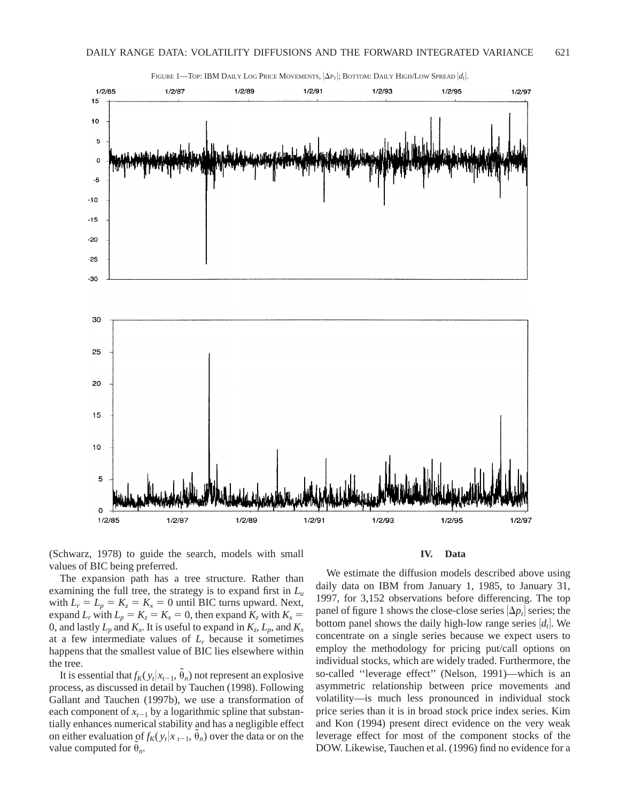

(Schwarz, 1978) to guide the search, models with small values of BIC being preferred.

The expansion path has a tree structure. Rather than examining the full tree, the strategy is to expand first in  $L_u$ with  $L_r = L_p = K_z = K_x = 0$  until BIC turns upward. Next, expand  $L_r$  with  $L_p = K_z = K_x = 0$ , then expand  $K_z$  with  $K_x =$ 0, and lastly  $L_p$  and  $K_x$ . It is useful to expand in  $K_z$ ,  $L_p$ , and  $K_x$ at a few intermediate values of  $L_r$  because it sometimes happens that the smallest value of BIC lies elsewhere within the tree.

It is essential that  $f_K(y_t|x_{t-1}, \tilde{\theta}_n)$  not represent an explosive process, as discussed in detail by Tauchen (1998). Following Gallant and Tauchen (1997b), we use a transformation of each component of  $x_{t-1}$  by a logarithmic spline that substantially enhances numerical stability and has a negligible effect on either evaluation of  $f_K(y_t|x_{t-1}, \tilde{\theta}_n)$  over the data or on the value computed for  $\tilde{\theta}_n$ .

## **IV. Data**

We estimate the diffusion models described above using daily data on IBM from January 1, 1985, to January 31, 1997, for 3,152 observations before differencing. The top panel of figure 1 shows the close-close series  $\Delta p_t$  series; the bottom panel shows the daily high-low range series  $[d_t]$ . We concentrate on a single series because we expect users to employ the methodology for pricing put/call options on individual stocks, which are widely traded. Furthermore, the so-called ''leverage effect'' (Nelson, 1991)—which is an asymmetric relationship between price movements and volatility—is much less pronounced in individual stock price series than it is in broad stock price index series. Kim and Kon (1994) present direct evidence on the very weak leverage effect for most of the component stocks of the DOW. Likewise, Tauchen et al. (1996) find no evidence for a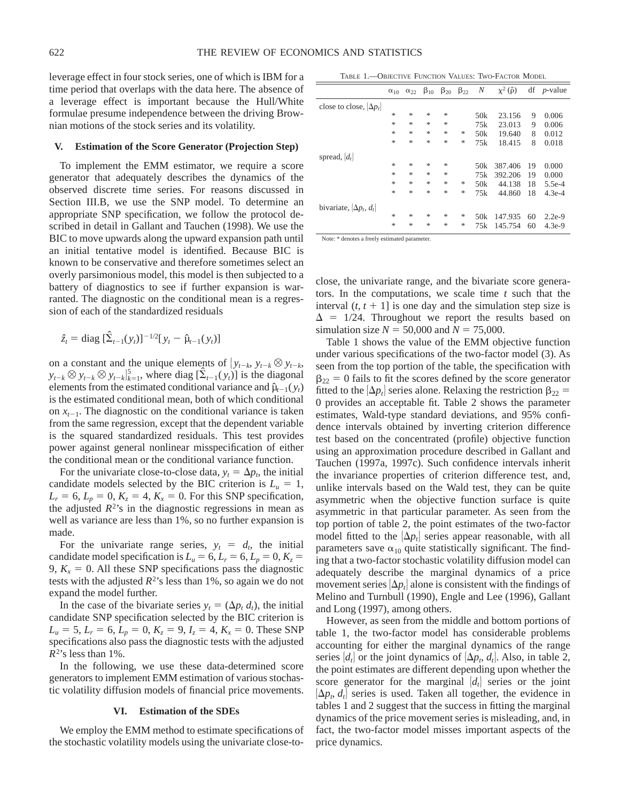leverage effect in four stock series, one of which is IBM for a time period that overlaps with the data here. The absence of a leverage effect is important because the Hull/White formulae presume independence between the driving Brownian motions of the stock series and its volatility.

## **V. Estimation of the Score Generator (Projection Step)**

To implement the EMM estimator, we require a score generator that adequately describes the dynamics of the observed discrete time series. For reasons discussed in Section III.B, we use the SNP model. To determine an appropriate SNP specification, we follow the protocol described in detail in Gallant and Tauchen (1998). We use the BIC to move upwards along the upward expansion path until an initial tentative model is identified. Because BIC is known to be conservative and therefore sometimes select an overly parsimonious model, this model is then subjected to a battery of diagnostics to see if further expansion is warranted. The diagnostic on the conditional mean is a regression of each of the standardized residuals

 $\hat{z}_t = \text{diag} \left[ \hat{\Sigma}_{t-1}(y_t) \right]^{-1/2} \left[ y_t - \hat{\mu}_{t-1}(y_t) \right]$ 

on a constant and the unique elements of  $\{y_{t-k}, y_{t-k} \otimes y_{t-k}\}$  $y_{t-k} \otimes y_{t-k} \otimes y_{t-k} |_{k=1}^5$ , where diag  $[\hat{\Sigma}_{t-1}(y_t)]$  is the diagonal elements from the estimated conditional variance and  $\hat{\mu}_{t-1}(y_t)$ is the estimated conditional mean, both of which conditional on  $x_{t-1}$ . The diagnostic on the conditional variance is taken from the same regression, except that the dependent variable is the squared standardized residuals. This test provides power against general nonlinear misspecification of either the conditional mean or the conditional variance function.

For the univariate close-to-close data,  $y_t = \Delta p_t$ , the initial candidate models selected by the BIC criterion is  $L_u = 1$ ,  $L_r = 6, L_p = 0, K_z = 4, K_x = 0$ . For this SNP specification, the adjusted  $R^2$ 's in the diagnostic regressions in mean as well as variance are less than 1%, so no further expansion is made.

For the univariate range series,  $y_t = d_t$ , the initial candidate model specification is  $L_u = 6$ ,  $L_r = 6$ ,  $L_p = 0$ ,  $K_z =$ 9,  $K_x = 0$ . All these SNP specifications pass the diagnostic tests with the adjusted  $R^2$ 's less than 1%, so again we do not expand the model further.

In the case of the bivariate series  $y_t = (\Delta p_t d_t)$ , the initial candidate SNP specification selected by the BIC criterion is  $L_u = 5$ ,  $L_r = 6$ ,  $L_p = 0$ ,  $K_z = 9$ ,  $I_z = 4$ ,  $K_x = 0$ . These SNP specifications also pass the diagnostic tests with the adjusted  $R^2$ 's less than 1%.

In the following, we use these data-determined score generators to implement EMM estimation of various stochastic volatility diffusion models of financial price movements.

#### **VI. Estimation of the SDEs**

We employ the EMM method to estimate specifications of the stochastic volatility models using the univariate close-to-

TABLE 1.—OBJECTIVE FUNCTION VALUES: TWO-FACTOR MODEL

|                                | $\alpha_{10}$ | $\alpha_{22}$ |               | $\beta_{10}$ $\beta_{20}$ | $\beta_{22}$  | N               | $\chi^2(\hat{\rho})$ | df | $p$ -value |
|--------------------------------|---------------|---------------|---------------|---------------------------|---------------|-----------------|----------------------|----|------------|
| close to close, $ \Delta p_t $ |               |               |               |                           |               |                 |                      |    |            |
|                                | $*$           | *             | *             | *                         |               | 50k             | 23.156               | 9  | 0.006      |
|                                | $*$           | *             | *             | *                         |               | 75k             | 23.013               | 9  | 0.006      |
|                                | $*$           | $\frac{1}{2}$ | $\frac{1}{2}$ | *                         | *             | 50k             | 19.640               | 8  | 0.012      |
|                                | $*$           | $*$           | $\frac{1}{2}$ | $\frac{1}{2}$             | $\frac{1}{2}$ | 75k             | 18.415               | 8  | 0.018      |
| spread, $ d_t $                |               |               |               |                           |               |                 |                      |    |            |
|                                | $\frac{1}{2}$ | *             | $\frac{1}{2}$ | *                         |               | 50 <sub>k</sub> | 387.406              | 19 | 0.000      |
|                                | $\frac{1}{2}$ | $*$           | $\frac{1}{2}$ | *                         |               | 75k             | 392.206              | 19 | 0.000      |
|                                | $\frac{1}{2}$ | *             | $\frac{1}{2}$ | *                         | *             | 50k             | 44.138               | 18 | 5.5e-4     |
|                                | $*$           | $*$           | $\frac{1}{2}$ | $\frac{1}{2}$             | $\frac{1}{2}$ | 75k             | 44.860               | 18 | $4.3e-4$   |
| bivariate, $[\Delta p_t, d_t]$ |               |               |               |                           |               |                 |                      |    |            |
|                                | $*$           | *             | $\frac{1}{2}$ | *                         | *             | 50 <sub>k</sub> | 147.935              | 60 | $2.2e-9$   |
|                                | $*$           | $*$           | $\frac{1}{2}$ | $\frac{1}{2}$             | $\frac{1}{2}$ | 75k             | 145.754              | 60 | $4.3e-9$   |

Note: \* denotes a freely estimated parameter.

close, the univariate range, and the bivariate score generators. In the computations, we scale time *t* such that the interval  $(t, t + 1]$  is one day and the simulation step size is  $\Delta$  = 1/24. Throughout we report the results based on simulation size  $N = 50,000$  and  $N = 75,000$ .

Table 1 shows the value of the EMM objective function under various specifications of the two-factor model (3). As seen from the top portion of the table, the specification with  $\beta_{22} = 0$  fails to fit the scores defined by the score generator fitted to the  $\Delta p_t$  series alone. Relaxing the restriction  $\beta_{22}$  = 0 provides an acceptable fit. Table 2 shows the parameter estimates, Wald-type standard deviations, and 95% confidence intervals obtained by inverting criterion difference test based on the concentrated (profile) objective function using an approximation procedure described in Gallant and Tauchen (1997a, 1997c). Such confidence intervals inherit the invariance properties of criterion difference test, and, unlike intervals based on the Wald test, they can be quite asymmetric when the objective function surface is quite asymmetric in that particular parameter. As seen from the top portion of table 2, the point estimates of the two-factor model fitted to the  $[\Delta p_t]$  series appear reasonable, with all parameters save  $\alpha_{10}$  quite statistically significant. The finding that a two-factor stochastic volatility diffusion model can adequately describe the marginal dynamics of a price movement series  $|\Delta p_t|$  alone is consistent with the findings of Melino and Turnbull (1990), Engle and Lee (1996), Gallant and Long (1997), among others.

However, as seen from the middle and bottom portions of table 1, the two-factor model has considerable problems accounting for either the marginal dynamics of the range series  $d_t$  or the joint dynamics of  $\Delta p_t$ ,  $d_t$ . Also, in table 2, the point estimates are different depending upon whether the score generator for the marginal  $|d_t|$  series or the joint  $\{\Delta p_t, d_t\}$  series is used. Taken all together, the evidence in tables 1 and 2 suggest that the success in fitting the marginal dynamics of the price movement series is misleading, and, in fact, the two-factor model misses important aspects of the price dynamics.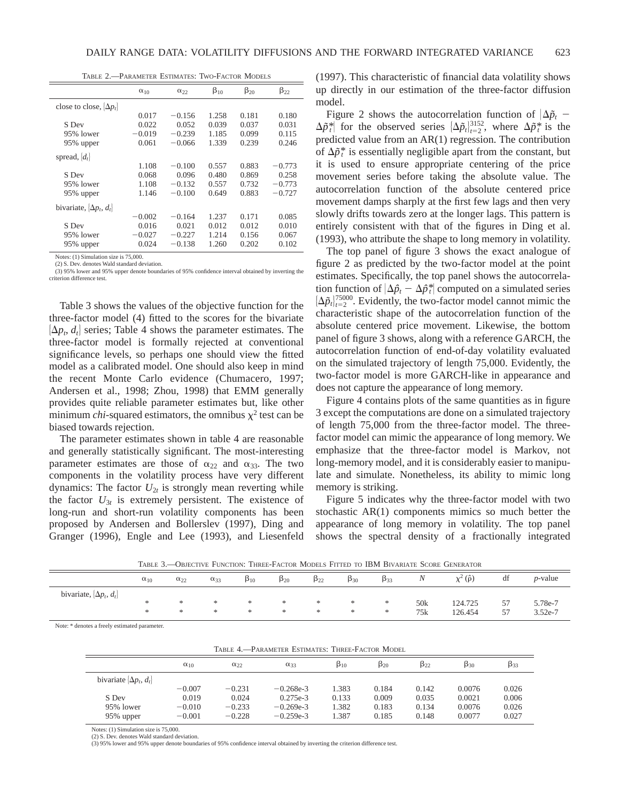TABLE 2.—PARAMETER ESTIMATES: TWO-FACTOR MODELS

|                                | $\alpha_{10}$ | $\alpha_{22}$ | $\beta_{10}$ | $\beta_{20}$ | $\beta_{22}$ |
|--------------------------------|---------------|---------------|--------------|--------------|--------------|
| close to close, $ \Delta p_i $ |               |               |              |              |              |
|                                | 0.017         | $-0.156$      | 1.258        | 0.181        | 0.180        |
| S Dev                          | 0.022         | 0.052         | 0.039        | 0.037        | 0.031        |
| 95% lower                      | $-0.019$      | $-0.239$      | 1.185        | 0.099        | 0.115        |
| 95% upper                      | 0.061         | $-0.066$      | 1.339        | 0.239        | 0.246        |
| spread, $ d_t $                |               |               |              |              |              |
|                                | 1.108         | $-0.100$      | 0.557        | 0.883        | $-0.773$     |
| S Dev                          | 0.068         | 0.096         | 0.480        | 0.869        | 0.258        |
| 95% lower                      | 1.108         | $-0.132$      | 0.557        | 0.732        | $-0.773$     |
| 95% upper                      | 1.146         | $-0.100$      | 0.649        | 0.883        | $-0.727$     |
| bivariate, $ \Delta p_t, d_t $ |               |               |              |              |              |
|                                | $-0.002$      | $-0.164$      | 1.237        | 0.171        | 0.085        |
| S Dev                          | 0.016         | 0.021         | 0.012        | 0.012        | 0.010        |
| 95% lower                      | $-0.027$      | $-0.227$      | 1.214        | 0.156        | 0.067        |
| 95% upper                      | 0.024         | $-0.138$      | 1.260        | 0.202        | 0.102        |

Notes: (1) Simulation size is 75,000.

(2) S. Dev. denotes Wald standard deviation. (3) 95% lower and 95% upper denote boundaries of 95% confidence interval obtained by inverting the criterion difference test.

Table 3 shows the values of the objective function for the three-factor model (4) fitted to the scores for the bivariate  $\{\Delta p_t, d_t\}$  series; Table 4 shows the parameter estimates. The three-factor model is formally rejected at conventional significance levels, so perhaps one should view the fitted model as a calibrated model. One should also keep in mind the recent Monte Carlo evidence (Chumacero, 1997; Andersen et al., 1998; Zhou, 1998) that EMM generally provides quite reliable parameter estimates but, like other minimum *chi*-squared estimators, the omnibus  $\chi^2$  test can be biased towards rejection.

The parameter estimates shown in table 4 are reasonable and generally statistically significant. The most-interesting parameter estimates are those of  $\alpha_{22}$  and  $\alpha_{33}$ . The two components in the volatility process have very different dynamics: The factor  $U_{2t}$  is strongly mean reverting while the factor  $U_{3t}$  is extremely persistent. The existence of long-run and short-run volatility components has been proposed by Andersen and Bollerslev (1997), Ding and Granger (1996), Engle and Lee (1993), and Liesenfeld (1997). This characteristic of financial data volatility shows up directly in our estimation of the three-factor diffusion model.

Figure 2 shows the autocorrelation function of  $|\Delta \tilde{p}_t \Delta \tilde{p}^*$  for the observed series  $\left[ \Delta \tilde{p}_t \right]_{t=2}^{3152}$ , where  $\Delta \tilde{p}^*$  is the predicted value from an AR(1) regression. The contribution of  $\Delta \tilde{\rho}_t^*$  is essentially negligible apart from the constant, but it is used to ensure appropriate centering of the price movement series before taking the absolute value. The autocorrelation function of the absolute centered price movement damps sharply at the first few lags and then very slowly drifts towards zero at the longer lags. This pattern is entirely consistent with that of the figures in Ding et al. (1993), who attribute the shape to long memory in volatility.

The top panel of figure 3 shows the exact analogue of figure 2 as predicted by the two-factor model at the point estimates. Specifically, the top panel shows the autocorrelation function of  $\Delta \hat{p}_t - \Delta \hat{p}_t^*$  computed on a simulated series  $\left\{\Delta \tilde{\rho}_t\right\}_{t=2}^{75000}$ . Evidently, the two-factor model cannot mimic the characteristic shape of the autocorrelation function of the absolute centered price movement. Likewise, the bottom panel of figure 3 shows, along with a reference GARCH, the autocorrelation function of end-of-day volatility evaluated on the simulated trajectory of length 75,000. Evidently, the two-factor model is more GARCH-like in appearance and does not capture the appearance of long memory.

Figure 4 contains plots of the same quantities as in figure 3 except the computations are done on a simulated trajectory of length 75,000 from the three-factor model. The threefactor model can mimic the appearance of long memory. We emphasize that the three-factor model is Markov, not long-memory model, and it is considerably easier to manipulate and simulate. Nonetheless, its ability to mimic long memory is striking.

Figure 5 indicates why the three-factor model with two stochastic AR(1) components mimics so much better the appearance of long memory in volatility. The top panel shows the spectral density of a fractionally integrated

|                                |               |               | <u>vuotivii a viiviivii tinnut tiivivii hityksin tiivisele toi aasia astiiniine puvoin vaninnityin </u> |              |              |              |              |              |     |                      |    |                 |
|--------------------------------|---------------|---------------|---------------------------------------------------------------------------------------------------------|--------------|--------------|--------------|--------------|--------------|-----|----------------------|----|-----------------|
|                                | $\alpha_{10}$ | $\alpha_{22}$ | $\alpha_{33}$                                                                                           | $\beta_{10}$ | $\beta_{20}$ | $\beta_{22}$ | $\beta_{30}$ | $\beta_{33}$ | N   | $\chi^2(\hat{\rho})$ | df | <i>p</i> -value |
| bivariate, $ \Delta p_t, d_t $ |               |               |                                                                                                         |              |              |              |              |              |     |                      |    |                 |
|                                | *             | *             | *                                                                                                       | *            | *            | *            | *            | *            | 50k | 124.725              | 57 | 5.78e-7         |
|                                | ж.            | *             | *                                                                                                       | *            | *            | *            | *            | *            | 75k | 126.454              | 57 | $3.52e-7$       |

TABLE 3.—OBJECTIVE FUNCTION: THREE-FACTOR MODELS FITTED TO IBM BIVARIATE SCORE GENERATOR

Note: \* denotes a freely estimated parameter.

 $=$ 

| TABLE 4.—PARAMETER ESTIMATES: THREE-FACTOR MODEL |               |               |               |              |              |              |              |              |  |
|--------------------------------------------------|---------------|---------------|---------------|--------------|--------------|--------------|--------------|--------------|--|
|                                                  | $\alpha_{10}$ | $\alpha_{22}$ | $\alpha_{33}$ | $\beta_{10}$ | $\beta_{20}$ | $\beta_{22}$ | $\beta_{30}$ | $\beta_{33}$ |  |
| bivariate $ \Delta p_t, d_t $                    |               |               |               |              |              |              |              |              |  |
|                                                  | $-0.007$      | $-0.231$      | $-0.268e-3$   | 1.383        | 0.184        | 0.142        | 0.0076       | 0.026        |  |
| S Dev                                            | 0.019         | 0.024         | $0.275e-3$    | 0.133        | 0.009        | 0.035        | 0.0021       | 0.006        |  |
| 95% lower                                        | $-0.010$      | $-0.233$      | $-0.269e-3$   | 1.382        | 0.183        | 0.134        | 0.0076       | 0.026        |  |
| 95% upper                                        | $-0.001$      | $-0.228$      | $-0.259e-3$   | 1.387        | 0.185        | 0.148        | 0.0077       | 0.027        |  |

Notes: (1) Simulation size is 75,000.

(2) S. Dev. denotes Wald standard deviation.

(3) 95% lower and 95% upper denote boundaries of 95% confidence interval obtained by inverting the criterion difference test.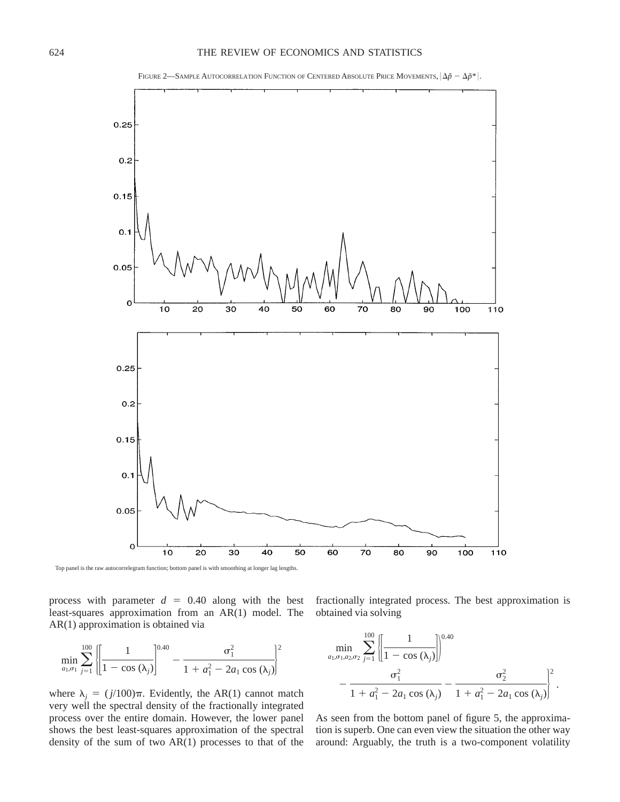

FIGURE 2—SAMPLE AUTOCORRELATION FUNCTION OF CENTERED ABSOLUTE PRICE MOVEMENTS,  $|\Delta \tilde{p} - \Delta \tilde{p}^*|$ .

process with parameter  $d = 0.40$  along with the best least-squares approximation from an AR(1) model. The

$$
\min_{a_1, \sigma_1} \sum_{j=1}^{100} \left\{ \left[ \frac{1}{1 - \cos(\lambda_j)} \right]^{0.40} - \frac{\sigma_1^2}{1 + a_1^2 - 2a_1 \cos(\lambda_j)} \right\}^2
$$

AR(1) approximation is obtained via

where  $\lambda_j = (j/100)\pi$ . Evidently, the AR(1) cannot match very well the spectral density of the fractionally integrated process over the entire domain. However, the lower panel shows the best least-squares approximation of the spectral density of the sum of two AR(1) processes to that of the fractionally integrated process. The best approximation is obtained via solving

$$
\min_{a_1, \sigma_1, a_2, \sigma_2} \sum_{j=1}^{100} \left\{ \frac{1}{1 - \cos(\lambda_j)} \right\}^{0.40} - \frac{\sigma_1^2}{1 + a_1^2 - 2a_1 \cos(\lambda_j)} - \frac{\sigma_2^2}{1 + a_1^2 - 2a_1 \cos(\lambda_j)} \right\}^2.
$$

As seen from the bottom panel of figure 5, the approximation is superb. One can even view the situation the other way around: Arguably, the truth is a two-component volatility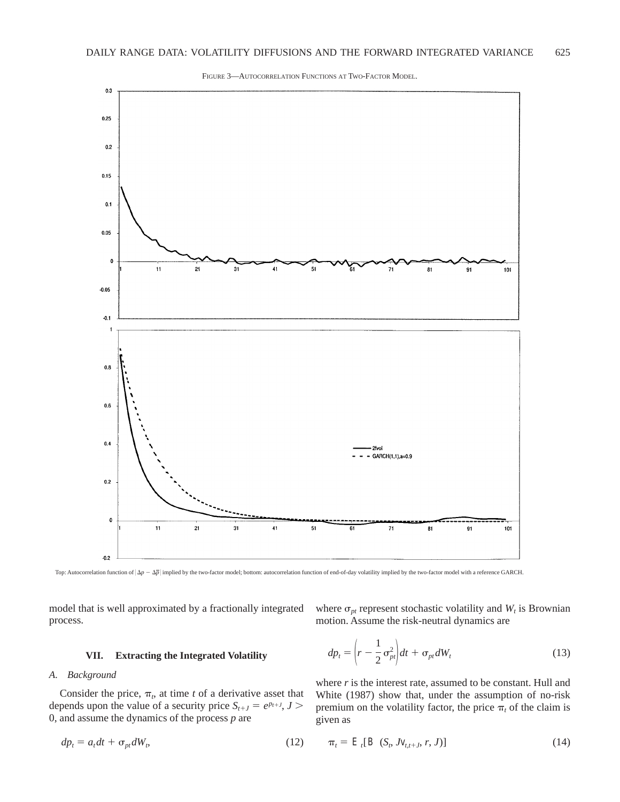

FIGURE 3—AUTOCORRELATION FUNCTIONS AT TWO-FACTOR MODEL.

Top: Autocorrelation function of  $|\Delta p - \Delta \overline{p}|$  implied by the two-factor model; bottom: autocorrelation function of end-of-day volatility implied by the two-factor model with a reference GARCH.

model that is well approximated by a fractionally integrated process.

# **VII. Extracting the Integrated Volatility**

## *A. Background*

Consider the price,  $\pi_t$ , at time *t* of a derivative asset that depends upon the value of a security price  $S_{t+J} = e^{p_t + J}$ ,  $J$  > 0, and assume the dynamics of the process *p* are

$$
dp_t = a_t dt + \sigma_{pt} dW_t, \tag{12}
$$

where  $\sigma_{pt}$  represent stochastic volatility and  $W_t$  is Brownian motion. Assume the risk-neutral dynamics are

$$
dp_t = \left(r - \frac{1}{2}\sigma_{pt}^2\right)dt + \sigma_{pt}dW_t
$$
\n(13)

where *r* is the interest rate, assumed to be constant. Hull and White (1987) show that, under the assumption of no-risk premium on the volatility factor, the price  $\pi_t$  of the claim is given as

$$
\pi_t = \mathcal{E}_t[\mathcal{B}(S_t, J_{V_{t,t+J}}, r, J)] \tag{14}
$$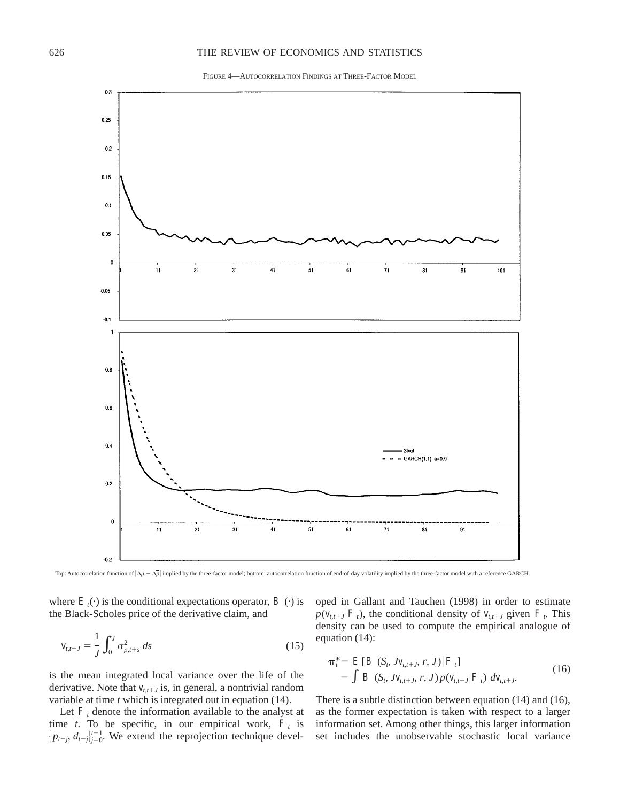## 626 THE REVIEW OF ECONOMICS AND STATISTICS

FIGURE 4—AUTOCORRELATION FINDINGS AT THREE-FACTOR MODEL



Top: Autocorrelation function of  $|\Delta p - \Delta \overline{p}|$  implied by the three-factor model; bottom: autocorrelation function of end-of-day volatility implied by the three-factor model with a reference GARCH.

where  $\mathcal{F}_t(\cdot)$  is the conditional expectations operator,  $\mathcal{B}(\cdot)$  is the Black-Scholes price of the derivative claim, and

$$
V_{t,t+J} = \frac{1}{J} \int_0^J \sigma_{p,t+s}^2 \, ds \tag{15}
$$

is the mean integrated local variance over the life of the derivative. Note that  $v_{t,t}$ *i* is, in general, a nontrivial random variable at time *t* which is integrated out in equation (14).

Let  $\mathcal{F}_t$  denote the information available to the analyst at time *t*. To be specific, in our empirical work,  $\mathcal{F}_t$  is  $[p_{t-j}, d_{t-j}]_{j=0}^{t-1}$ . We extend the reprojection technique devel-

oped in Gallant and Tauchen (1998) in order to estimate  $p(V_{t,t+J}|\mathcal{F}_t)$ , the conditional density of  $V_{t,t+J}$  given  $\mathcal{F}_t$ . This density can be used to compute the empirical analogue of equation (14):

$$
\pi_t^* = \mathcal{L}[\mathcal{B}(S_t, J_{V_{t,t+J}}, r, J)] \mathcal{F}_t]
$$
  
=  $\int \mathcal{B}(S_t, J_{V_{t,t+J}}, r, J) p(V_{t,t+J} | \mathcal{F}_t) dV_{t,t+J}.$  (16)

There is a subtle distinction between equation (14) and (16), as the former expectation is taken with respect to a larger information set. Among other things, this larger information set includes the unobservable stochastic local variance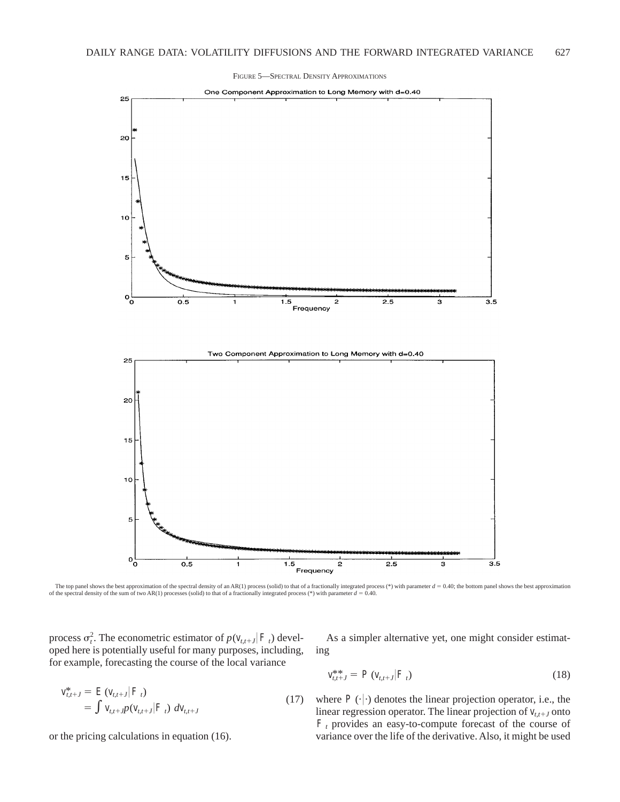

FIGURE 5—SPECTRAL DENSITY APPROXIMATIONS

The top panel shows the best approximation of the spectral density of an AR(1) process (solid) to that of a fractionally integrated process (\*) with parameter  $d = 0.40$ ; the bottom panel shows the best approximation of th

process  $\sigma_t^2$ . The econometric estimator of  $p(\mathbf{v}_{t,t+J}|\mathcal{F}_t)$  developed here is potentially useful for many purposes, including, for example, forecasting the course of the local variance

$$
v_{t,t+J}^* = \mathcal{E}(v_{t,t+J} | \mathcal{F}_t) = \int v_{t,t+J} p(v_{t,t+J} | \mathcal{F}_t) \, dv_{t,t+J}
$$
 (17)

or the pricing calculations in equation (16).

As a simpler alternative yet, one might consider estimating

$$
v_{t,t+J}^{**} = \rho(v_{t,t+J}|\mathcal{F}_t)
$$
\n(18)

where  $P(\cdot|\cdot)$  denotes the linear projection operator, i.e., the linear regression operator. The linear projection of  $v_{t,t+J}$  onto  $F_t$  provides an easy-to-compute forecast of the course of variance over the life of the derivative. Also, it might be used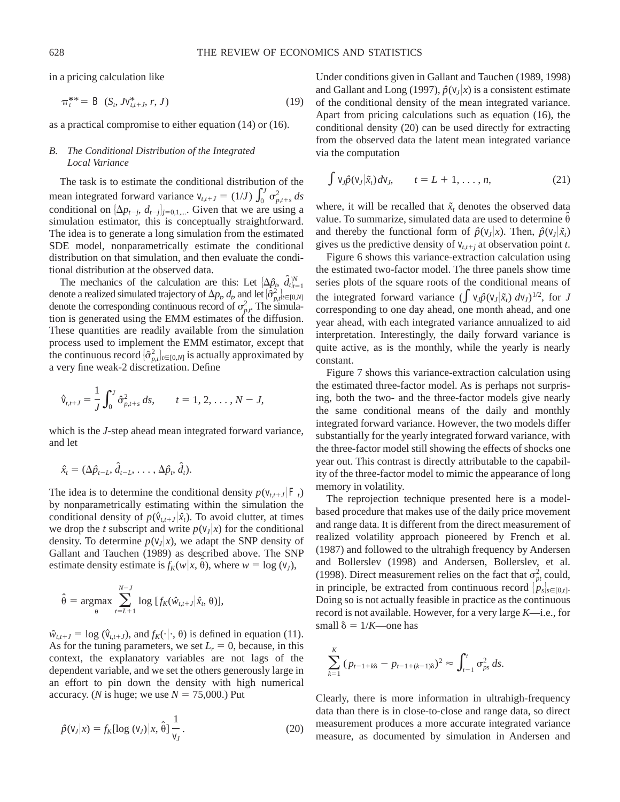in a pricing calculation like

$$
\pi_t^{**} = \mathcal{B}(S_t, Jv_{t,t}^*, r, J) \tag{19}
$$

as a practical compromise to either equation (14) or (16).

# *B. The Conditional Distribution of the Integrated Local Variance*

The task is to estimate the conditional distribution of the mean integrated forward variance  $v_{t,t+J} = (1/J) \int_0^J \sigma_{p,t+s}^2 ds$ conditional on  $[\Delta p_{t-j}, d_{t-j}]_{j=0,1,...}$ . Given that we are using a simulation estimator, this is conceptually straightforward. The idea is to generate a long simulation from the estimated SDE model, nonparametrically estimate the conditional distribution on that simulation, and then evaluate the conditional distribution at the observed data.

The mechanics of the calculation are this: Let  $\{\Delta \hat{p}_t, \hat{d}_t\}_{t=1}^N$ denote a realized simulated trajectory of  $\Delta p_t$ ,  $d_t$ , and let  $\{\hat{\sigma}_{p,t}^2\}_{t\in[0,N]}$  denote the corresponding continuous record of  $\sigma_{p,t}^2$ . The simulation is generated using the EMM estimates of the diffusion. These quantities are readily available from the simulation process used to implement the EMM estimator, except that the continuous record  $\{\hat{\sigma}_{p,t}^2\}_{t\in[0,N]}$  is actually approximated by a very fine weak-2 discretization. Define

$$
\hat{v}_{t,t+J} = \frac{1}{J} \int_0^J \hat{\sigma}_{p,t+s}^2 ds, \qquad t = 1, 2, \ldots, N-J,
$$

which is the *J*-step ahead mean integrated forward variance, and let

$$
\hat{x}_t = (\Delta \hat{p}_{t-L}, \hat{d}_{t-L}, \dots, \Delta \hat{p}_t, \hat{d}_t).
$$

The idea is to determine the conditional density  $p(V_{t,t+1} | \textit{F}_t)$ by nonparametrically estimating within the simulation the conditional density of  $p(\hat{v}_{t,t+J}|\hat{x}_t)$ . To avoid clutter, at times we drop the *t* subscript and write  $p(y<sub>J</sub>|x)$  for the conditional density. To determine  $p(v<sub>I</sub>|x)$ , we adapt the SNP density of Gallant and Tauchen (1989) as described above. The SNP estimate density estimate is  $f_K(w|x, \hat{\theta})$ , where  $w = \log(v_J)$ ,

$$
\hat{\theta} = \underset{\theta}{\operatorname{argmax}} \sum_{t=L+1}^{N-J} \log [f_K(\hat{w}_{t,t+J}|\hat{x}_t, \theta)],
$$

 $\hat{w}_{t,t+J} = \log(\hat{v}_{t,t+J})$ , and  $f_K(\cdot|\cdot, \theta)$  is defined in equation (11). As for the tuning parameters, we set  $L_r = 0$ , because, in this context, the explanatory variables are not lags of the dependent variable, and we set the others generously large in an effort to pin down the density with high numerical accuracy. (*N* is huge; we use  $N = 75,000$ .) Put

$$
\hat{p}(v_j|x) = f_K[\log(v_j)|x, \hat{\theta}] \frac{1}{v_j}.
$$
\n(20)

Under conditions given in Gallant and Tauchen (1989, 1998) and Gallant and Long (1997),  $\hat{p}(v_l|x)$  is a consistent estimate of the conditional density of the mean integrated variance. Apart from pricing calculations such as equation (16), the conditional density (20) can be used directly for extracting from the observed data the latent mean integrated variance via the computation

$$
\int v_{J}\hat{p}(v_{J}|\tilde{x}_{t})dv_{J}, \qquad t = L + 1, \ldots, n,
$$
\n(21)

where, it will be recalled that  $\tilde{x}_t$  denotes the observed data value. To summarize, simulated data are used to determine  $\hat{\theta}$ and thereby the functional form of  $\hat{p}(v_j|x)$ . Then,  $\hat{p}(v_j|\tilde{x}_t)$ gives us the predictive density of  $v_{t,t+j}$  at observation point *t*.

Figure 6 shows this variance-extraction calculation using the estimated two-factor model. The three panels show time series plots of the square roots of the conditional means of the integrated forward variance  $(\int v_j \hat{p}(v_j|\tilde{x}_t) dv_j)^{1/2}$ , for *J* corresponding to one day ahead, one month ahead, and one year ahead, with each integrated variance annualized to aid interpretation. Interestingly, the daily forward variance is quite active, as is the monthly, while the yearly is nearly constant.

Figure 7 shows this variance-extraction calculation using the estimated three-factor model. As is perhaps not surprising, both the two- and the three-factor models give nearly the same conditional means of the daily and monthly integrated forward variance. However, the two models differ substantially for the yearly integrated forward variance, with the three-factor model still showing the effects of shocks one year out. This contrast is directly attributable to the capability of the three-factor model to mimic the appearance of long memory in volatility.

The reprojection technique presented here is a modelbased procedure that makes use of the daily price movement and range data. It is different from the direct measurement of realized volatility approach pioneered by French et al. (1987) and followed to the ultrahigh frequency by Andersen and Bollerslev (1998) and Andersen, Bollerslev, et al. (1998). Direct measurement relies on the fact that  $\sigma_{pt}^2$  could, in principle, be extracted from continuous record  $[p_s]_{s \in [0,t]}$ . Doing so is not actually feasible in practice as the continuous record is not available. However, for a very large *K*—i.e., for small  $\delta = 1/K$ —one has

$$
\sum_{k=1}^K (p_{t-1+k\delta} - p_{t-1+(k-1)\delta})^2 \approx \int_{t-1}^t \sigma_{ps}^2 ds.
$$

Clearly, there is more information in ultrahigh-frequency data than there is in close-to-close and range data, so direct measurement produces a more accurate integrated variance measure, as documented by simulation in Andersen and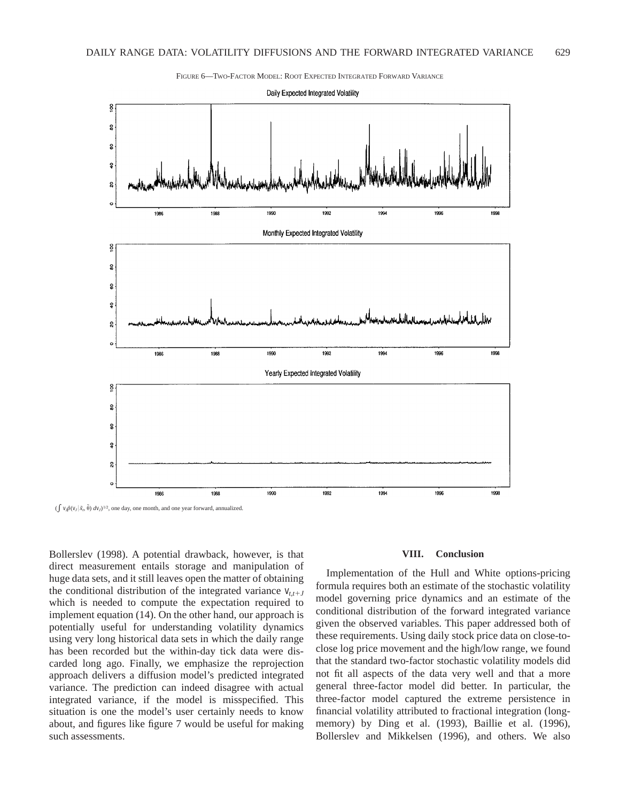

FIGURE 6—TWO-FACTOR MODEL: ROOT EXPECTED INTEGRATED FORWARD VARIANCE

 $(\int v_j \hat{p}(v_j|\tilde{x}_t, \tilde{\theta}) dv_j)^{1/2}$ , one day, one month, and one year forward, annualized.

Bollerslev (1998). A potential drawback, however, is that direct measurement entails storage and manipulation of huge data sets, and it still leaves open the matter of obtaining the conditional distribution of the integrated variance  $V_{t,t+J}$ which is needed to compute the expectation required to implement equation (14). On the other hand, our approach is potentially useful for understanding volatility dynamics using very long historical data sets in which the daily range has been recorded but the within-day tick data were discarded long ago. Finally, we emphasize the reprojection approach delivers a diffusion model's predicted integrated variance. The prediction can indeed disagree with actual integrated variance, if the model is misspecified. This situation is one the model's user certainly needs to know about, and figures like figure 7 would be useful for making such assessments.

## **VIII. Conclusion**

Implementation of the Hull and White options-pricing formula requires both an estimate of the stochastic volatility model governing price dynamics and an estimate of the conditional distribution of the forward integrated variance given the observed variables. This paper addressed both of these requirements. Using daily stock price data on close-toclose log price movement and the high/low range, we found that the standard two-factor stochastic volatility models did not fit all aspects of the data very well and that a more general three-factor model did better. In particular, the three-factor model captured the extreme persistence in financial volatility attributed to fractional integration (longmemory) by Ding et al. (1993), Baillie et al. (1996), Bollerslev and Mikkelsen (1996), and others. We also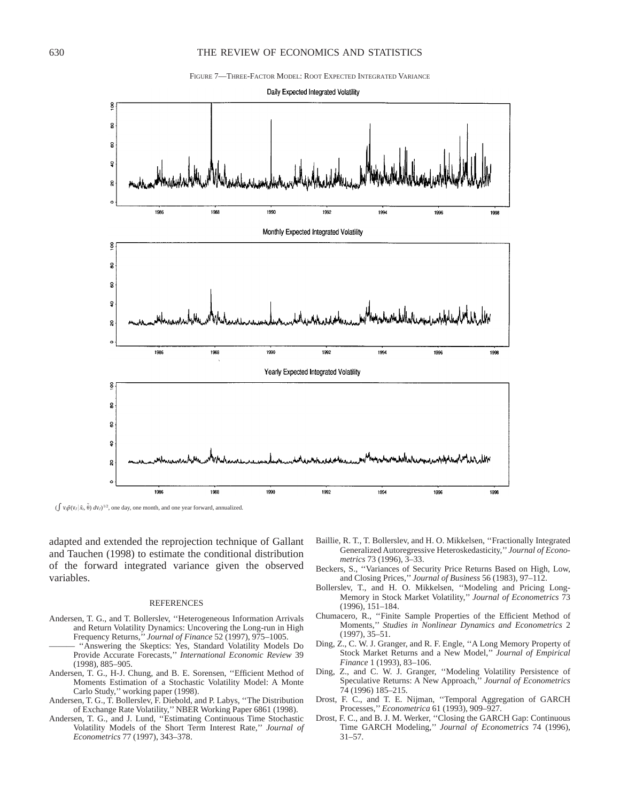FIGURE 7—THREE-FACTOR MODEL: ROOT EXPECTED INTEGRATED VARIANCE



 $(\int v_j \hat{p}(v_j|\tilde{x}_t, \tilde{\theta}) dv_j)^{1/2}$ , one day, one month, and one year forward, annualized.

adapted and extended the reprojection technique of Gallant and Tauchen (1998) to estimate the conditional distribution of the forward integrated variance given the observed variables.

#### **REFERENCES**

- Andersen, T. G., and T. Bollerslev, ''Heterogeneous Information Arrivals and Return Volatility Dynamics: Uncovering the Long-run in High Frequency Returns,'' *Journal of Finance* 52 (1997), 975–1005.
- ——— ''Answering the Skeptics: Yes, Standard Volatility Models Do Provide Accurate Forecasts,'' *International Economic Review* 39 (1998), 885–905.
- Andersen, T. G., H-J. Chung, and B. E. Sorensen, ''Efficient Method of Moments Estimation of a Stochastic Volatility Model: A Monte Carlo Study,'' working paper (1998).
- Andersen, T. G., T. Bollerslev, F. Diebold, and P. Labys, ''The Distribution of Exchange Rate Volatility,'' NBER Working Paper 6861 (1998).
- Andersen, T. G., and J. Lund, ''Estimating Continuous Time Stochastic Volatility Models of the Short Term Interest Rate,'' *Journal of Econometrics* 77 (1997), 343–378.
- Baillie, R. T., T. Bollerslev, and H. O. Mikkelsen, ''Fractionally Integrated Generalized Autoregressive Heteroskedasticity,'' *Journal of Econometrics* 73 (1996), 3–33.
- Beckers, S., ''Variances of Security Price Returns Based on High, Low, and Closing Prices,'' *Journal of Business* 56 (1983), 97–112.
- Bollerslev, T., and H. O. Mikkelsen, ''Modeling and Pricing Long-Memory in Stock Market Volatility,'' *Journal of Econometrics* 73 (1996), 151–184.
- Chumacero, R., ''Finite Sample Properties of the Efficient Method of Moments,'' *Studies in Nonlinear Dynamics and Econometrics* 2 (1997), 35–51.
- Ding, Z., C. W. J. Granger, and R. F. Engle, ''A Long Memory Property of Stock Market Returns and a New Model,'' *Journal of Empirical Finance* 1 (1993), 83–106.
- Ding, Z., and C. W. J. Granger, ''Modeling Volatility Persistence of Speculative Returns: A New Approach,'' *Journal of Econometrics* 74 (1996) 185–215.
- Drost, F. C., and T. E. Nijman, ''Temporal Aggregation of GARCH Processes,'' *Econometrica* 61 (1993), 909–927.
- Drost, F. C., and B. J. M. Werker, ''Closing the GARCH Gap: Continuous Time GARCH Modeling,'' *Journal of Econometrics* 74 (1996), 31–57.